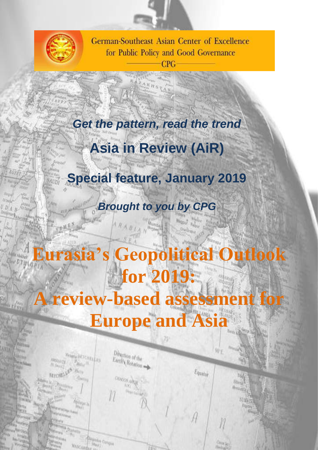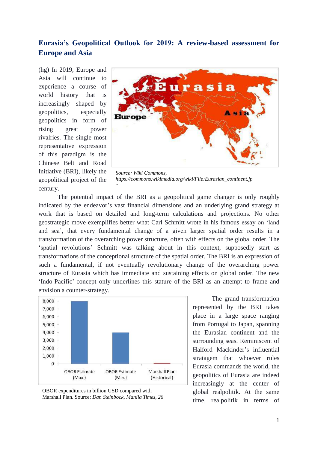# **Eurasia's Geopolitical Outlook for 2019: A review-based assessment for Europe and Asia**

(hg) In 2019, Europe and Asia will continue to experience a course of world history that is increasingly shaped by geopolitics, especially geopolitics in form of rising great power rivalries. The single most representative expression of this paradigm is the Chinese Belt and Road Initiative (BRI), likely the geopolitical project of the century.



*Source: Wiki Commons, https://commons.wikimedia.org/wiki/File:Eurasian\_continent.jp*

The potential impact of the BRI as a geopolitical game changer is only roughly indicated by the endeavor's vast financial dimensions and an underlying grand strategy at work that is based on detailed and long-term calculations and projections. No other geostrategic move exemplifies better what Carl Schmitt wrote in his famous essay on 'land and sea', that every fundamental change of a given larger spatial order results in a transformation of the overarching power structure, often with effects on the global order. The 'spatial revolutions' Schmitt was talking about in this context, supposedly start as transformations of the conceptional structure of the spatial order. The BRI is an expression of such a fundamental, if not eventually revolutionary change of the overarching power structure of Eurasia which has immediate and sustaining effects on global order. The new 'Indo-Pacific'-concept only underlines this stature of the BRI as an attempt to frame and envision a counter-strategy.





The grand transformation represented by the BRI takes place in a large space ranging from Portugal to Japan, spanning the Eurasian continent and the surrounding seas. Reminiscent of Halford Mackinder's influential stratagem that whoever rules Eurasia commands the world, the geopolitics of Eurasia are indeed increasingly at the center of global realpolitik. At the same time, realpolitik in terms of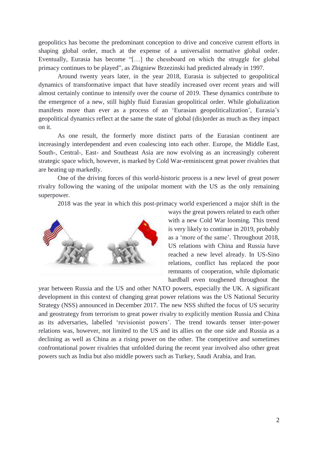geopolitics has become the predominant conception to drive and conceive current efforts in shaping global order, much at the expense of a universalist normative global order. Eventually, Eurasia has become "[…] the chessboard on which the struggle for global primacy continues to be played", as Zbigniew Brzezinski had predicted already in 1997.

Around twenty years later, in the year 2018, Eurasia is subjected to geopolitical dynamics of transformative impact that have steadily increased over recent years and will almost certainly continue to intensify over the course of 2019. These dynamics contribute to the emergence of a new, still highly fluid Eurasian geopolitical order. While globalization manifests more than ever as a process of an 'Eurasian geopoliticalization', Eurasia's geopolitical dynamics reflect at the same the state of global (dis)order as much as they impact on it.

As one result, the formerly more distinct parts of the Eurasian continent are increasingly interdependent and even coalescing into each other. Europe, the Middle East, South-, Central-, East- and Southeast Asia are now evolving as an increasingly coherent strategic space which, however, is marked by Cold War-reminiscent great power rivalries that are heating up markedly.

One of the driving forces of this world-historic process is a new level of great power rivalry following the waning of the unipolar moment with the US as the only remaining superpower.

2018 was the year in which this post-primacy world experienced a major shift in the



ways the great powers related to each other with a new Cold War looming. This trend is very likely to continue in 2019, probably as a 'more of the same'. Throughout 2018, US relations with China and Russia have reached a new level already. In US-Sino relations, conflict has replaced the poor remnants of cooperation, while diplomatic hardball even toughened throughout the

year between Russia and the US and other NATO powers, especially the UK. A significant development in this context of changing great power relations was the US National Security Strategy (NSS) announced in December 2017. The new NSS shifted the focus of US security and geostrategy from terrorism to great power rivalry to explicitly mention Russia and China as its adversaries, labelled 'revisionist powers'. The trend towards tenser inter-power relations was, however, not limited to the US and its allies on the one side and Russia as a declining as well as China as a rising power on the other. The competitive and sometimes confrontational power rivalries that unfolded during the recent year involved also other great powers such as India but also middle powers such as Turkey, Saudi Arabia, and Iran.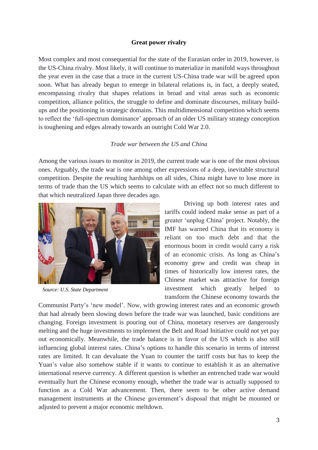## **Great power rivalry**

Most complex and most consequential for the state of the Eurasian order in 2019, however, is the US-China rivalry. Most likely, it will continue to materialize in manifold ways throughout the year even in the case that a truce in the current US-China trade war will be agreed upon soon. What has already begun to emerge in bilateral relations is, in fact, a deeply seated, encompassing rivalry that shapes relations in broad and vital areas such as economic competition, alliance politics, the struggle to define and dominate discourses, military buildups and the positioning in strategic domains. This multidimensional competition which seems to reflect the 'full-spectrum dominance' approach of an older US military strategy conception is toughening and edges already towards an outright Cold War 2.0.

### *Trade war between the US and China*

Among the various issues to monitor in 2019, the current trade war is one of the most obvious ones. Arguably, the trade war is one among other expressions of a deep, inevitable structural competition. Despite the resulting hardships on all sides, China might have to lose more in terms of trade than the US which seems to calculate with an effect not so much different to that which neutralized Japan three decades ago.



*Source: U.S. State Department*

Driving up both interest rates and tariffs could indeed make sense as part of a greater 'unplug China' project. Notably, the IMF has warned China that its economy is reliant on too much debt and that the enormous boom in credit would carry a risk of an economic crisis. As long as China's economy grew and credit was cheap in times of historically low interest rates, the Chinese market was attractive for foreign investment which greatly helped to transform the Chinese economy towards the

Communist Party's 'new model'. Now, with growing interest rates and an economic growth that had already been slowing down before the trade war was launched, basic conditions are changing. Foreign investment is pouring out of China, monetary reserves are dangerously melting and the huge investments to implement the Belt and Road Initiative could not yet pay out economically. Meanwhile, the trade balance is in favor of the US which is also still influencing global interest rates. China's options to handle this scenario in terms of interest rates are limited. It can devaluate the Yuan to counter the tariff costs but has to keep the Yuan's value also somehow stable if it wants to continue to establish it as an alternative international reserve currency. A different question is whether an entrenched trade war would eventually hurt the Chinese economy enough, whether the trade war is actually supposed to function as a Cold War advancement. Then, there seem to be other active demand management instruments at the Chinese government's disposal that might be mounted or adjusted to prevent a major economic meltdown.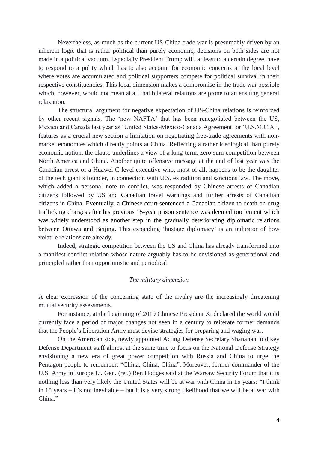Nevertheless, as much as the current US-China trade war is presumably driven by an inherent logic that is rather political than purely economic, decisions on both sides are not made in a political vacuum. Especially President Trump will, at least to a certain degree, have to respond to a polity which has to also account for economic concerns at the local level where votes are accumulated and political supporters compete for political survival in their respective constituencies. This local dimension makes a compromise in the trade war possible which, however, would not mean at all that bilateral relations are prone to an ensuing general relaxation.

The structural argument for negative expectation of US-China relations is reinforced by other recent signals. The 'new NAFTA' that has been renegotiated between the US, Mexico and Canada last year as 'United States-Mexico-Canada Agreement' or 'U.S.M.C.A.', features as a crucial new section a limitation on negotiating free-trade agreements with nonmarket economies which directly points at China. Reflecting a rather ideological than purely economic notion, the clause underlines a view of a long-term, zero-sum competition between North America and China. Another quite offensive message at the end of last year was the Canadian arrest of a Huawei C-level executive who, most of all, happens to be the daughter of the tech giant's founder, in connection with U.S. extradition and sanctions law. The move, which added a personal note to conflict, was responded by Chinese arrests of Canadian citizens followed by US and Canadian travel warnings and further arrests of Canadian citizens in China. Eventually, a Chinese court sentenced a Canadian citizen to death on drug trafficking charges after his previous 15-year prison sentence was deemed too lenient which was widely understood as another step in the gradually deteriorating diplomatic relations between Ottawa and Beijing. This expanding 'hostage diplomacy' is an indicator of how volatile relations are already.

Indeed, strategic competition between the US and China has already transformed into a manifest conflict-relation whose nature arguably has to be envisioned as generational and principled rather than opportunistic and periodical.

### *The military dimension*

A clear expression of the concerning state of the rivalry are the increasingly threatening mutual security assessments.

For instance, at the beginning of 2019 Chinese President Xi declared the world would currently face a period of major changes not seen in a century to reiterate former demands that the People's Liberation Army must devise strategies for preparing and waging war.

On the American side, newly appointed Acting Defense Secretary Shanahan told key Defense Department staff almost at the same time to focus on the National Defense Strategy envisioning a new era of great power competition with Russia and China to urge the Pentagon people to remember: "China, China, China". Moreover, former commander of the U.S. Army in Europe Lt. Gen. (ret.) Ben Hodges said at the Warsaw Security Forum that it is nothing less than very likely the United States will be at war with China in 15 years: "I think in 15 years – it's not inevitable – but it is a very strong likelihood that we will be at war with China."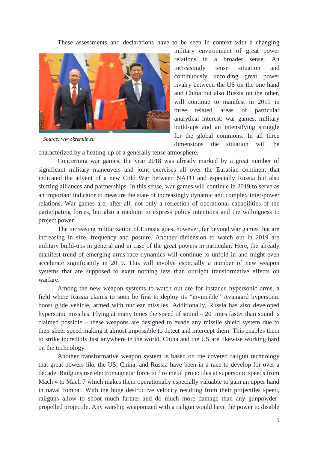These assessments and declarations have to be seen in context with a changing



*Source: www.kremlin.ru*

military environment of great power relations in a broader sense. An increasingly tense situation and continuously unfolding great power rivalry between the US on the one hand and China but also Russia on the other, will continue to manifest in 2019 in three related areas of particular analytical interest: war games, military build-ups and an intensifying struggle for the global commons. In all three dimensions the situation will be

characterized by a heating-up of a generally tense atmosphere.

Concerning war games, the year 2018 was already marked by a great number of significant military maneuvers and joint exercises all over the Eurasian continent that indicated the advent of a new Cold War between NATO and especially Russia but also shifting alliances and partnerships. In this sense, war games will continue in 2019 to serve as an important indicator to measure the state of increasingly dynamic and complex inter-power relations. War games are, after all, not only a reflection of operational capabilities of the participating forces, but also a medium to express policy intentions and the willingness to project power.

The increasing militarization of Eurasia goes, however, far beyond war games that are increasing in size, frequency and posture. Another dimension to watch out in 2019 are military build-ups in general and in case of the great powers in particular. Here, the already manifest trend of emerging arms-race dynamics will continue to unfold in and might even accelerate significantly in 2019. This will involve especially a number of new weapon systems that are supposed to exert nothing less than outright transformative effects on warfare.

Among the new weapon systems to watch out are for instance hypersonic arms, a field where Russia claims to soon be first to deploy its "invincible" Avangard hypersonic boost glide vehicle, armed with nuclear missiles. Additionally, Russia has also developed hypersonic missiles. Flying at many times the speed of sound – 20 times faster than sound is claimed possible – these weapons are designed to evade any missile shield system due to their sheer speed making it almost impossible to detect and intercept them. This enables them to strike incredibly fast anywhere in the world. China and the US are likewise working hard on the technology.

Another transformative weapon system is based on the coveted railgun technology that great powers like the US, China, and Russia have been in a race to develop for over a decade. Railguns use electromagnetic force to fire metal projectiles at supersonic speeds from Mach 4 to Mach 7 which makes them operationally especially valuable to gain an upper hand in naval combat. With the huge destructive velocity resulting from their projectiles speed, railguns allow to shoot much farther and do much more damage than any gunpowderpropelled projectile. Any warship weaponized with a railgun would have the power to disable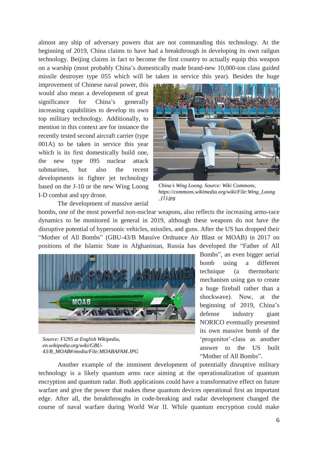almost any ship of adversary powers that are not commanding this technology. At the beginning of 2019, China claims to have had a breakthrough in developing its own railgun technology. Beijing claims in fact to become the first country to actually equip this weapon on a warship (most probably China's domestically made brand-new 10,000-ton class guided missile destroyer type 055 which will be taken in service this year). Besides the huge

improvement of Chinese naval power, this would also mean a development of great significance for China's generally increasing capabilities to develop its own top military technology. Additionally, to mention in this context are for instance the recently tested second aircraft carrier (type 001A) to be taken in service this year which is its first domestically build one, the new type 095 nuclear attack submarines, but also the recent developments in fighter jet technology based on the J-10 or the new Wing Loong I-D combat and spy drone.



*China's Wing Loong. Source: Wiki Commons, https://commons.wikimedia.org/wiki/File:Wing\_Loong \_(1).jpg*

The development of massive aerial

bombs, one of the most powerful non-nuclear weapons, also reflects the increasing arms-race dynamics to be monitored in general in 2019, although these weapons do not have the disruptive potential of hypersonic vehicles, missiles, and guns. After the US has dropped their "Mother of All Bombs" (GBU-43/B Massive Ordnance Air Blast or MOAB) in 2017 on positions of the Islamic State in Afghanistan, Russia has developed the "Father of All



*Source: Fl295 at English Wikipedia, en.wikipedia.org/wiki/GBU-43/B\_MOAB#/media/File:MOABAFAM.JPG*

Bombs", an even bigger aerial bomb using a different technique (a thermobaric mechanism using gas to create a huge fireball rather than a shockwave). Now, at the beginning of 2019, China's defense industry giant NORICO eventually presented its own massive bomb of the 'progenitor'-class as another answer to the US built "Mother of All Bombs".

Another example of the imminent development of potentially disruptive military technology is a likely quantum arms race aiming at the operationalization of quantum encryption and quantum radar. Both applications could have a transformative effect on future warfare and give the power that makes these quantum devices operational first an important edge. After all, the breakthroughs in code-breaking and radar development changed the course of naval warfare during World War II. While quantum encryption could make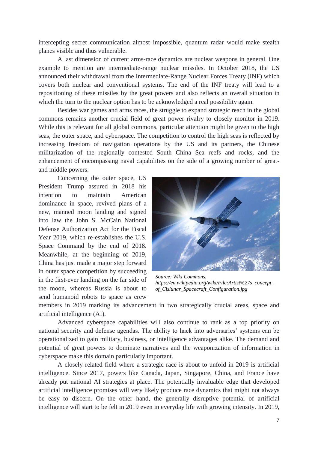intercepting secret communication almost impossible, quantum radar would make stealth planes visible and thus vulnerable.

A last dimension of current arms-race dynamics are nuclear weapons in general. One example to mention are intermediate-range nuclear missiles. In October 2018, the US announced their withdrawal from the Intermediate-Range Nuclear Forces Treaty (INF) which covers both nuclear and conventional systems. The end of the INF treaty will lead to a repositioning of these missiles by the great powers and also reflects an overall situation in which the turn to the nuclear option has to be acknowledged a real possibility again.

Besides war games and arms races, the struggle to expand strategic reach in the global commons remains another crucial field of great power rivalry to closely monitor in 2019. While this is relevant for all global commons, particular attention might be given to the high seas, the outer space, and cyberspace. The competition to control the high seas is reflected by increasing freedom of navigation operations by the US and its partners, the Chinese militarization of the regionally contested South China Sea reefs and rocks, and the enhancement of encompassing naval capabilities on the side of a growing number of greatand middle powers.

Concerning the outer space, US President Trump assured in 2018 his intention to maintain American dominance in space, revived plans of a new, manned moon landing and signed into law the John S. McCain National Defense Authorization Act for the Fiscal Year 2019, which re-establishes the U.S. Space Command by the end of 2018. Meanwhile, at the beginning of 2019, China has just made a major step forward in outer space competition by succeeding in the first-ever landing on the far side of the moon, whereas Russia is about to send humanoid robots to space as crew



*Source: Wiki Commons, https://en.wikipedia.org/wiki/File:Artist%27s\_concept\_ of\_Cislunar\_Spacecraft\_Configuration.jpg*

members in 2019 marking its advancement in two strategically crucial areas, space and artificial intelligence (AI).

Advanced cyberspace capabilities will also continue to rank as a top priority on national security and defense agendas. The ability to hack into adversaries' systems can be operationalized to gain military, business, or intelligence advantages alike. The demand and potential of great powers to dominate narratives and the weaponization of information in cyberspace make this domain particularly important.

A closely related field where a strategic race is about to unfold in 2019 is artificial intelligence. Since 2017, powers like Canada, Japan, Singapore, China, and France have already put national AI strategies at place. The potentially invaluable edge that developed artificial intelligence promises will very likely produce race dynamics that might not always be easy to discern. On the other hand, the generally disruptive potential of artificial intelligence will start to be felt in 2019 even in everyday life with growing intensity. In 2019,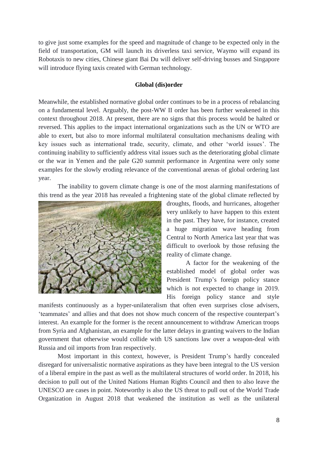to give just some examples for the speed and magnitude of change to be expected only in the field of transportation, GM will launch its driverless taxi service, Waymo will expand its Robotaxis to new cities, Chinese giant Bai Du will deliver self-driving busses and Singapore will introduce flying taxis created with German technology.

#### **Global (dis)order**

Meanwhile, the established normative global order continues to be in a process of rebalancing on a fundamental level. Arguably, the post-WW II order has been further weakened in this context throughout 2018. At present, there are no signs that this process would be halted or reversed. This applies to the impact international organizations such as the UN or WTO are able to exert, but also to more informal multilateral consultation mechanisms dealing with key issues such as international trade, security, climate, and other 'world issues'. The continuing inability to sufficiently address vital issues such as the deteriorating global climate or the war in Yemen and the pale G20 summit performance in Argentina were only some examples for the slowly eroding relevance of the conventional arenas of global ordering last year.

The inability to govern climate change is one of the most alarming manifestations of this trend as the year 2018 has revealed a frightening state of the global climate reflected by



droughts, floods, and hurricanes, altogether very unlikely to have happen to this extent in the past. They have, for instance, created a huge migration wave heading from Central to North America last year that was difficult to overlook by those refusing the reality of climate change.

A factor for the weakening of the established model of global order was President Trump's foreign policy stance which is not expected to change in 2019. His foreign policy stance and style

manifests continuously as a hyper-unilateralism that often even surprises close advisers, 'teammates' and allies and that does not show much concern of the respective counterpart's interest. An example for the former is the recent announcement to withdraw American troops from Syria and Afghanistan, an example for the latter delays in granting waivers to the Indian government that otherwise would collide with US sanctions law over a weapon-deal with Russia and oil imports from Iran respectively.

Most important in this context, however, is President Trump's hardly concealed disregard for universalistic normative aspirations as they have been integral to the US version of a liberal empire in the past as well as the multilateral structures of world order. In 2018, his decision to pull out of the United Nations Human Rights Council and then to also leave the UNESCO are cases in point. [Noteworthy is also the US threat to pull out of the World Trade](https://www.ft.com/content/32e17984-aca2-11e8-89a1-e5de165fa619)  [Organization](https://www.ft.com/content/32e17984-aca2-11e8-89a1-e5de165fa619) in August 2018 that weakened the institution as well as the unilateral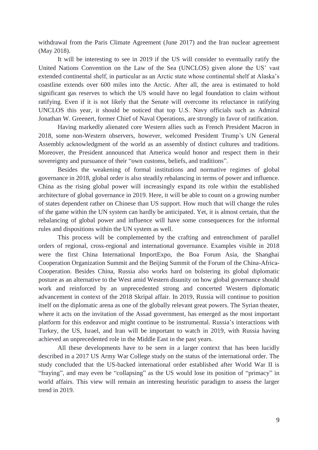withdrawal from the Paris Climate Agreement (June 2017) and the Iran nuclear agreement (May 2018).

It will be interesting to see in 2019 if the US will consider to eventually ratify the United Nations Convention on the Law of the Sea (UNCLOS) given alone the US' vast extended continental shelf, in particular as an Arctic state whose continental shelf at Alaska's coastline extends over 600 miles into the Arctic. After all, the area is estimated to hold significant gas reserves to which the US would have no legal foundation to claim without ratifying. Even if it is not likely that the Senate will overcome its reluctance in ratifying UNCLOS this year, it should be noticed that top U.S. Navy officials such as Admiral Jonathan W. Greenert, former Chief of Naval Operations, are strongly in favor of ratification.

Having markedly alienated core Western allies such as French President Macron in 2018, some non-Western observers, however, welcomed President Trump's UN General Assembly acknowledgment of the world as an assembly of distinct cultures and traditions. Moreover, the President announced that America would honor and respect them in their sovereignty and pursuance of their "own customs, beliefs, and traditions".

Besides the weakening of formal institutions and normative regimes of global governance in 2018, global order is also steadily rebalancing in terms of power and influence. China as the rising global power will increasingly expand its role within the established architecture of global governance in 2019. Here, it will be able to count on a growing number of states dependent rather on Chinese than US support. How much that will change the rules of the game within the UN system can hardly be anticipated. Yet, it is almost certain, that the rebalancing of global power and influence will have some consequences for the informal rules and dispositions within the UN system as well.

This process will be complemented by the crafting and entrenchment of parallel orders of regional, cross-regional and international governance. Examples visible in 2018 were the first China International ImportExpo, the Boa Forum Asia, the Shanghai Cooperation Organization Summit and the Beijing Summit of the Forum of the China-Africa-Cooperation. Besides China, Russia also works hard on bolstering its global diplomatic posture as an alternative to the West amid Western disunity on how global governance should work and reinforced by an unprecedented strong and concerted Western diplomatic advancement in context of the 2018 Skripal affair. In 2019, Russia will continue to position itself on the diplomatic arena as one of the globally relevant great powers. The Syrian theater, where it acts on the invitation of the Assad government, has emerged as the most important platform for this endeavor and might continue to be instrumental. Russia's interactions with Turkey, the US, Israel, and Iran will be important to watch in 2019, with Russia having achieved an unprecedented role in the Middle East in the past years.

All these developments have to be seen in a larger context that has been lucidly described in a 2017 US Army War College study on the status of the international order. The study concluded that the US-backed international order established after World War II is "fraying", and may even be "collapsing" as the US would lose its position of "primacy" in world affairs. This view will remain an interesting heuristic paradigm to assess the larger trend in 2019.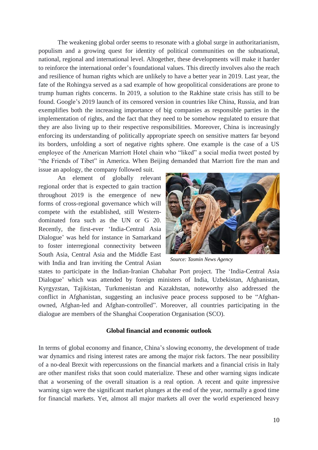The weakening global order seems to resonate with a global surge in authoritarianism, populism and a growing quest for identity of political communities on the subnational, national, regional and international level. Altogether, these developments will make it harder to reinforce the international order's foundational values. This directly involves also the reach and resilience of human rights which are unlikely to have a better year in 2019. Last year, the fate of the Rohingya served as a sad example of how geopolitical considerations are prone to trump human rights concerns. In 2019, a solution to the Rakhine state crisis has still to be found. Google's 2019 launch of its censored version in countries like China, Russia, and Iran exemplifies both the increasing importance of big companies as responsible parties in the implementation of rights, and the fact that they need to be somehow regulated to ensure that they are also living up to their respective responsibilities. Moreover, China is increasingly enforcing its understanding of politically appropriate speech on sensitive matters far beyond its borders, unfolding a sort of negative rights sphere. One example is the case of a US employee of the American Marriott Hotel chain who "liked" a social media tweet posted by "the Friends of Tibet" in America. When Beijing demanded that Marriott fire the man and issue an apology, the company followed suit.

An element of globally relevant regional order that is expected to gain traction throughout 2019 is the emergence of new forms of cross-regional governance which will compete with the established, still Westerndominated fora such as the UN or G 20. Recently, the first-ever 'India-Central Asia Dialogue' was held for instance in Samarkand to foster interregional connectivity between South Asia, Central Asia and the Middle East with India and Iran inviting the Central Asian



*Source: Tasmin News Agency*

states to participate in the Indian-Iranian Chabahar Port project. The 'India-Central Asia Dialogue' which was attended by foreign ministers of India, Uzbekistan, Afghanistan, Kyrgyzstan, Tajikistan, Turkmenistan and Kazakhstan, noteworthy also addressed the conflict in Afghanistan, suggesting an inclusive peace process supposed to be "Afghanowned, Afghan-led and Afghan-controlled". Moreover, all countries participating in the dialogue are members of the Shanghai Cooperation Organisation (SCO).

#### **Global financial and economic outlook**

In terms of global economy and finance, China's slowing economy, the development of trade war dynamics and rising interest rates are among the major risk factors. The near possibility of a no-deal Brexit with repercussions on the financial markets and a financial crisis in Italy are other manifest risks that soon could materialize. These and other warning signs indicate that a worsening of the overall situation is a real option. A recent and quite impressive warning sign were the significant market plunges at the end of the year, normally a good time for financial markets. Yet, almost all major markets all over the world experienced heavy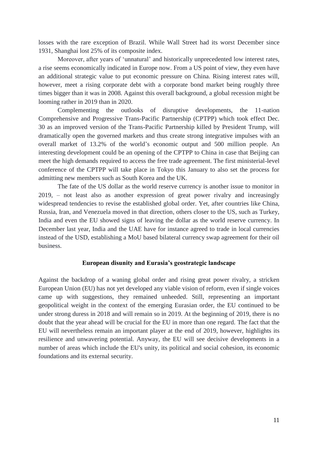losses with the rare exception of Brazil. While Wall Street had its worst December since 1931, Shanghai lost 25% of its composite index.

Moreover, after years of 'unnatural' and historically unprecedented low interest rates, a rise seems economically indicated in Europe now. From a US point of view, they even have an additional strategic value to put economic pressure on China. Rising interest rates will, however, meet a rising corporate debt with a corporate bond market being roughly three times bigger than it was in 2008. Against this overall background, a global recession might be looming rather in 2019 than in 2020.

Complementing the outlooks of disruptive developments, the 11-nation Comprehensive and Progressive Trans-Pacific Partnership (CPTPP) which took effect Dec. 30 as an improved version of the Trans-Pacific Partnership killed by President Trump, will dramatically open the governed markets and thus create strong integrative impulses with an overall market of 13.2% of the world's economic output and 500 million people. An interesting development could be an opening of the CPTPP to China in case that Beijing can meet the high demands required to access the free trade agreement. The first ministerial-level conference of the CPTPP will take place in Tokyo this January to also set the process for admitting new members such as South Korea and the UK.

The fate of the US dollar as the world reserve currency is another issue to monitor in 2019, – not least also as another expression of great power rivalry and increasingly widespread tendencies to revise the established global order. Yet, after countries like China, Russia, Iran, and Venezuela moved in that direction, others closer to the US, such as Turkey, India and even the EU showed signs of leaving the dollar as the world reserve currency. In December last year, India and the UAE have for instance agreed to trade in local currencies instead of the USD, establishing a MoU based bilateral currency swap agreement for their oil business.

#### **European disunity and Eurasia's geostrategic landscape**

Against the backdrop of a waning global order and rising great power rivalry, a stricken European Union (EU) has not yet developed any viable vision of reform, even if single voices came up with suggestions, they remained unheeded. Still, representing an important geopolitical weight in the context of the emerging Eurasian order, the EU continued to be under strong duress in 2018 and will remain so in 2019. At the beginning of 2019, there is no doubt that the year ahead will be crucial for the EU in more than one regard. The fact that the EU will nevertheless remain an important player at the end of 2019, however, highlights its resilience and unwavering potential. Anyway, the EU will see decisive developments in a number of areas which include the EU's unity, its political and social cohesion, its economic foundations and its external security.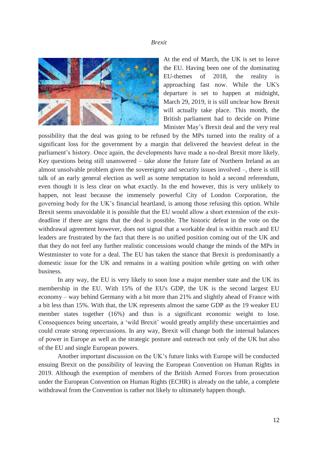#### *Brexit*



At the end of March, the UK is set to leave the EU. Having been one of the dominating EU-themes of 2018, the reality is approaching fast now. While the UK's departure is set to happen at midnight, March 29, 2019, it is still unclear how Brexit will actually take place. This month, the British parliament had to decide on Prime Minister May's Brexit deal and the very real

possibility that the deal was going to be refused by the MPs turned into the reality of a significant loss for the government by a margin that delivered the heaviest defeat in the parliament's history. Once again, the developments have made a no-deal Brexit more likely. Key questions being still unanswered – take alone the future fate of Northern Ireland as an almost unsolvable problem given the sovereignty and security issues involved –, there is still talk of an early general election as well as some temptation to hold a second referendum, even though it is less clear on what exactly. In the end however, this is very unlikely to happen, not least because the immensely powerful City of London Corporation, the governing body for the UK's financial heartland, is among those refusing this option. While Brexit seems unavoidable it is possible that the EU would allow a short extension of the exitdeadline if there are signs that the deal is possible. The historic defeat in the vote on the withdrawal agreement however, does not signal that a workable deal is within reach and EU leaders are frustrated by the fact that there is no unified position coming out of the UK and that they do not feel any further realistic concessions would change the minds of the MPs in Westminster to vote for a deal. The EU has taken the stance that Brexit is predominantly a domestic issue for the UK and remains in a waiting position while getting on with other business.

In any way, the EU is very likely to soon lose a major member state and the UK its membership in the EU. With 15% of the EU's GDP, the UK is the second largest EU economy – way behind Germany with a bit more than 21% and slightly ahead of France with a bit less than 15%. With that, the UK represents almost the same GDP as the 19 weaker EU member states together (16%) and thus is a significant economic weight to lose. Consequences being uncertain, a 'wild Brexit' would greatly amplify these uncertainties and could create strong repercussions. In any way, Brexit will change both the internal balances of power in Europe as well as the strategic posture and outreach not only of the UK but also of the EU and single European powers.

Another important discussion on the UK's future links with Europe will be conducted ensuing Brexit on the possibility of leaving the European Convention on Human Rights in 2019. Although the exemption of members of the British Armed Forces from prosecution under the European Convention on Human Rights (ECHR) is already on the table, a complete withdrawal from the Convention is rather not likely to ultimately happen though.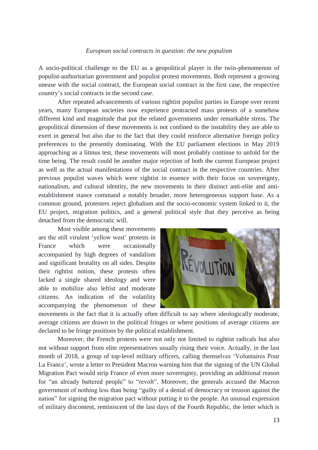#### *European social contracts in question: the new populism*

A socio-political challenge to the EU as a geopolitical player is the twin-phenomenon of populist-authoritarian government and populist protest movements. Both represent a growing unease with the social contract, the European social contract in the first case, the respective country's social contracts in the second case.

After repeated advancements of various rightist populist parties in Europe over recent years, many European societies now experience protracted mass protests of a somehow different kind and magnitude that put the related governments under remarkable stress. The geopolitical dimension of these movements is not confined to the instability they are able to exert in general but also due to the fact that they could reinforce alternative foreign policy preferences to the presently dominating. With the EU parliament elections in May 2019 approaching as a litmus test, these movements will most probably continue to unfold for the time being. The result could be another major rejection of both the current European project as well as the actual manifestations of the social contract in the respective countries. After previous populist waves which were rightist in essence with their focus on sovereignty, nationalism, and cultural identity, the new movements in their distinct anti-elite and antiestablishment stance command a notably broader, more heterogeneous support base. As a common ground, protesters reject globalism and the socio-economic system linked to it, the EU project, migration politics, and a general political style that they perceive as being detached from the democratic will.

Most visible among these movements are the still virulent 'yellow west' protests in France which were occasionally accompanied by high degrees of vandalism and significant brutality on all sides. Despite their rightist notion, these protests often lacked a single shared ideology and were able to mobilize also leftist and moderate citizens. An indication of the volatility accompanying the phenomenon of these



movements is the fact that it is actually often difficult to say where ideologically moderate, average citizens are drawn to the political fringes or where positions of average citizens are declared to be fringe positions by the political establishment.

Moreover, the French protests were not only not limited to rightist radicals but also not without support from elite representatives usually rising their voice. Actually, in the last month of 2018, a group of top-level military officers, calling themselves 'Voluntaires Pour La France', wrote a letter to President Macron warning him that the signing of the UN Global Migration Pact would strip France of even more sovereignty, providing an additional reason for "an already battered people" to "revolt". Moreover, the generals accused the Macron government of nothing less than being "guilty of a denial of democracy or treason against the nation" for signing the migration pact without putting it to the people. An unusual expression of military discontent, reminiscent of the last days of the Fourth Republic, the letter which is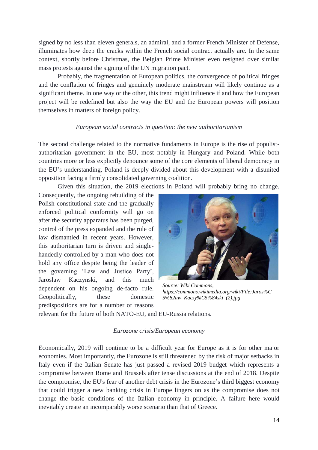signed by no less than eleven generals, an admiral, and a former French Minister of Defense, illuminates how deep the cracks within the French social contract actually are. In the same context, shortly before Christmas, the Belgian Prime Minister even resigned over similar mass protests against the signing of the UN migration pact.

Probably, the fragmentation of European politics, the convergence of political fringes and the conflation of fringes and genuinely moderate mainstream will likely continue as a significant theme. In one way or the other, this trend might influence if and how the European project will be redefined but also the way the EU and the European powers will position themselves in matters of foreign policy.

#### *European social contracts in question: the new authoritarianism*

The second challenge related to the normative fundaments in Europe is the rise of populistauthoritarian government in the EU, most notably in Hungary and Poland. While both countries more or less explicitly denounce some of the core elements of liberal democracy in the EU's understanding, Poland is deeply divided about this development with a disunited opposition facing a firmly consolidated governing coalition.

Given this situation, the 2019 elections in Poland will probably bring no change.

Consequently, the ongoing rebuilding of the Polish constitutional state and the gradually enforced political conformity will go on after the security apparatus has been purged, control of the press expanded and the rule of law dismantled in recent years. However, this authoritarian turn is driven and singlehandedly controlled by a man who does not hold any office despite being the leader of the governing 'Law and Justice Party', Jaroslaw Kaczynski, and this much dependent on his ongoing de-facto rule. Geopolitically, these domestic predispositions are for a number of reasons



*Source: Wiki Commons, https://commons.wikimedia.org/wiki/File:Jaros%C 5%82aw\_Kaczy%C5%84ski\_(2).jpg*

relevant for the future of both NATO-EU, and EU-Russia relations.

#### *Eurozone crisis/European economy*

Economically, 2019 will continue to be a difficult year for Europe as it is for other major economies. Most importantly, the Eurozone is still threatened by the risk of major setbacks in Italy even if the Italian Senate has just passed a revised 2019 budget which represents a compromise between Rome and Brussels after tense discussions at the end of 2018. Despite the compromise, the EU's fear of another debt crisis in the Eurozone's third biggest economy that could trigger a new banking crisis in Europe lingers on as the compromise does not change the basic conditions of the Italian economy in principle. A failure here would inevitably create an incomparably worse scenario than that of Greece.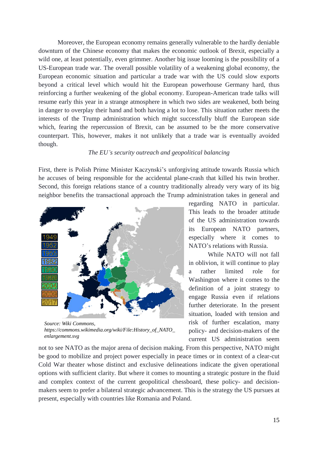Moreover, the European economy remains generally vulnerable to the hardly deniable downturn of the Chinese economy that makes the economic outlook of Brexit, especially a wild one, at least potentially, even grimmer. Another big issue looming is the possibility of a US-European trade war. The overall possible volatility of a weakening global economy, the European economic situation and particular a trade war with the US could slow exports beyond a critical level which would hit the European powerhouse Germany hard, thus reinforcing a further weakening of the global economy. European-American trade talks will resume early this year in a strange atmosphere in which two sides are weakened, both being in danger to overplay their hand and both having a lot to lose. This situation rather meets the interests of the Trump administration which might successfully bluff the European side which, fearing the repercussion of Brexit, can be assumed to be the more conservative counterpart. This, however, makes it not unlikely that a trade war is eventually avoided though.

#### *The EU's security outreach and geopolitical balancing*

First, there is Polish Prime Minister Kaczynski's unforgiving attitude towards Russia which he accuses of being responsible for the accidental plane-crash that killed his twin brother. Second, this foreign relations stance of a country traditionally already very wary of its big neighbor benefits the transactional approach the Trump administration takes in general and



*Source: Wiki Commons, https://commons.wikimedia.org/wiki/File:History\_of\_NATO\_ enlargement.svg*

regarding NATO in particular. This leads to the broader attitude of the US administration towards its European NATO partners, especially where it comes to NATO's relations with Russia.

While NATO will not fall in oblivion, it will continue to play a rather limited role for Washington where it comes to the definition of a joint strategy to engage Russia even if relations further deteriorate. In the present situation, loaded with tension and risk of further escalation, many policy- and decision-makers of the current US administration seem

not to see NATO as the major arena of decision making. From this perspective, NATO might be good to mobilize and project power especially in peace times or in context of a clear-cut Cold War theater whose distinct and exclusive delineations indicate the given operational options with sufficient clarity. But where it comes to mounting a strategic posture in the fluid and complex context of the current geopolitical chessboard, these policy- and decisionmakers seem to prefer a bilateral strategic advancement. This is the strategy the US pursues at present, especially with countries like Romania and Poland.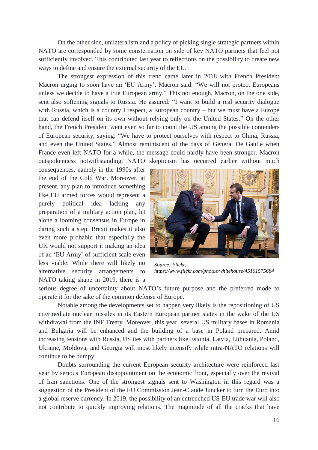On the other side, unilateralism and a policy of picking single strategic partners within NATO are corresponded by some consternation on side of key NATO partners that feel not sufficiently involved. This contributed last year to reflections on the possibility to create new ways to define and ensure the external security of the EU.

The strongest expression of this trend came later in 2018 with French President Macron urging to soon have an 'EU Army'. Macron said: "We will not protect Europeans unless we decide to have a true European army." This not enough, Macron, on the one side, sent also softening signals to Russia. He assured: "I want to build a real security dialogue with Russia, which is a country I respect, a European country – but we must have a Europe that can defend itself on its own without relying only on the United States." On the other hand, the French President went even so far to count the US among the possible contenders of European security, saying: "We have to protect ourselves with respect to China, Russia, and even the United States." Almost reminiscent of the days of General De Gaulle when France even left NATO for a while, the message could hardly have been stronger. Macron outspokenness notwithstanding, NATO skepticism has occurred earlier without much

consequences, namely in the 1990s after the end of the Cold War. Moreover, at present, any plan to introduce something like EU armed forces would represent a purely political idea lacking any preparation of a military action plan, let alone a looming consensus in Europe in daring such a step. Brexit makes it also even more probable that especially the UK would not support it making an idea of an 'EU Army' of sufficient scale even less viable. While there will likely no alternative security arrangements to NATO taking shape in 2019, there is a



*Source: Flickr, https://www.flickr.com/photos/whitehouse/45101575684*

serious degree of uncertainty about NATO's future purpose and the preferred mode to operate it for the sake of the common defense of Europe.

Notable among the developments set to happen very likely is the repositioning of US intermediate nuclear missiles in its Eastern European partner states in the wake of the US withdrawal from the INF Treaty. Moreover, this year, several US military bases in Romania and Bulgaria will be enhanced and the building of a base in Poland prepared. Amid increasing tensions with Russia, US ties with partners like Estonia, Latvia, Lithuania, Poland, Ukraine, Moldova, and Georgia will most likely intensify while intra-NATO relations will continue to be bumpy.

Doubts surrounding the current European security architecture were reinforced last year by serious European disappointment on the economic front, especially over the revival of Iran sanctions. One of the strongest signals sent to Washington in this regard was a suggestion of the President of the EU Commission Jean-Claude Juncker to turn the Euro into a global reserve currency. In 2019, the possibility of an entrenched US-EU trade war will also not contribute to quickly improving relations. The magnitude of all the cracks that have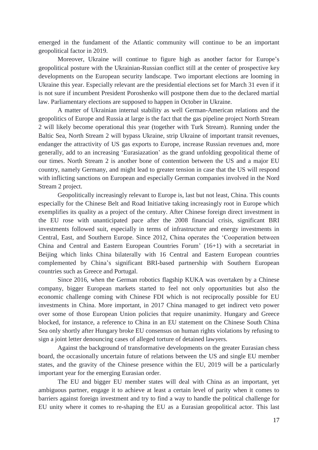emerged in the fundament of the Atlantic community will continue to be an important geopolitical factor in 2019.

Moreover, Ukraine will continue to figure high as another factor for Europe's geopolitical posture with the Ukrainian-Russian conflict still at the center of prospective key developments on the European security landscape. Two important elections are looming in Ukraine this year. Especially relevant are the presidential elections set for March 31 even if it is not sure if incumbent President Poroshenko will postpone them due to the declared martial law. Parliamentary elections are supposed to happen in October in Ukraine.

A matter of Ukrainian internal stability as well German-American relations and the geopolitics of Europe and Russia at large is the fact that the gas pipeline project North Stream 2 will likely become operational this year (together with Turk Stream). Running under the Baltic Sea, North Stream 2 will bypass Ukraine, strip Ukraine of important transit revenues, endanger the attractivity of US gas exports to Europe, increase Russian revenues and, more generally, add to an increasing 'Eurasiazation' as the grand unfolding geopolitical theme of our times. North Stream 2 is another bone of contention between the US and a major EU country, namely Germany, and might lead to greater tension in case that the US will respond with inflicting sanctions on European and especially German companies involved in the Nord Stream 2 project.

Geopolitically increasingly relevant to Europe is, last but not least, China. This counts especially for the Chinese Belt and Road Initiative taking increasingly root in Europe which exemplifies its quality as a project of the century. After Chinese foreign direct investment in the EU rose with unanticipated pace after the 2008 financial crisis, significant BRI investments followed suit, especially in terms of infrastructure and energy investments in Central, East, and Southern Europe. Since 2012, China operates the 'Cooperation between China and Central and Eastern European Countries Forum' (16+1) with a secretariat in Beijing which links China bilaterally with 16 Central and Eastern European countries complemented by China's significant BRI-based partnership with Southern European countries such as Greece and Portugal.

Since 2016, when the German robotics flagship KUKA was overtaken by a Chinese company, bigger European markets started to feel not only opportunities but also the economic challenge coming with Chinese FDI which is not reciprocally possible for EU investments in China. More important, in 2017 China managed to get indirect veto power over some of those European Union policies that require unanimity. Hungary and Greece blocked, for instance, a reference to China in an EU statement on the Chinese South China Sea only shortly after Hungary broke EU consensus on human rights violations by refusing to sign a joint letter denouncing cases of alleged torture of detained lawyers.

Against the background of transformative developments on the greater Eurasian chess board, the occasionally uncertain future of relations between the US and single EU member states, and the gravity of the Chinese presence within the EU, 2019 will be a particularly important year for the emerging Eurasian order.

The EU and bigger EU member states will deal with China as an important, yet ambiguous partner, engage it to achieve at least a certain level of parity when it comes to barriers against foreign investment and try to find a way to handle the political challenge for EU unity where it comes to re-shaping the EU as a Eurasian geopolitical actor. This last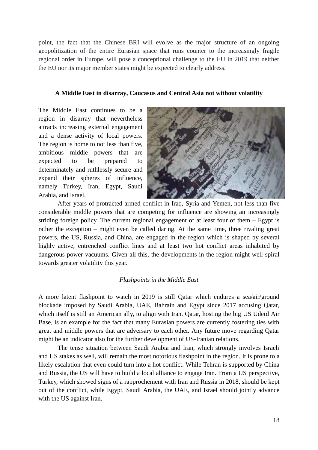point, the fact that the Chinese BRI will evolve as the major structure of an ongoing geopolitization of the entire Eurasian space that runs counter to the increasingly fragile regional order in Europe, will pose a conceptional challenge to the EU in 2019 that neither the EU nor its major member states might be expected to clearly address.

#### **A Middle East in disarray, Caucasus and Central Asia not without volatility**

The Middle East continues to be a region in disarray that nevertheless attracts increasing external engagement and a dense activity of local powers. The region is home to not less than five, ambitious middle powers that are expected to be prepared to determinately and ruthlessly secure and expand their spheres of influence, namely Turkey, Iran, Egypt, Saudi Arabia, and Israel.



After years of protracted armed conflict in Iraq, Syria and Yemen, not less than five considerable middle powers that are competing for influence are showing an increasingly striding foreign policy. The current regional engagement of at least four of them – Egypt is rather the exception – might even be called daring. At the same time, three rivaling great powers, the US, Russia, and China, are engaged in the region which is shaped by several highly active, entrenched conflict lines and at least two hot conflict areas inhabited by dangerous power vacuums. Given all this, the developments in the region might well spiral towards greater volatility this year.

#### *Flashpoints in the Middle East*

A more latent flashpoint to watch in 2019 is still Qatar which endures a sea/air/ground blockade imposed by Saudi Arabia, UAE, Bahrain and Egypt since 2017 accusing Qatar, which itself is still an American ally, to align with Iran. Qatar, hosting the big US Udeid Air Base, is an example for the fact that many Eurasian powers are currently fostering ties with great and middle powers that are adversary to each other. Any future move regarding Qatar might be an indicator also for the further development of US-Iranian relations.

The tense situation between Saudi Arabia and Iran, which strongly involves Israeli and US stakes as well, will remain the most notorious flashpoint in the region. It is prone to a likely escalation that even could turn into a hot conflict. While Tehran is supported by China and Russia, the US will have to build a local alliance to engage Iran. From a US perspective, Turkey, which showed signs of a rapprochement with Iran and Russia in 2018, should be kept out of the conflict, while Egypt, Saudi Arabia, the UAE, and Israel should jointly advance with the US against Iran.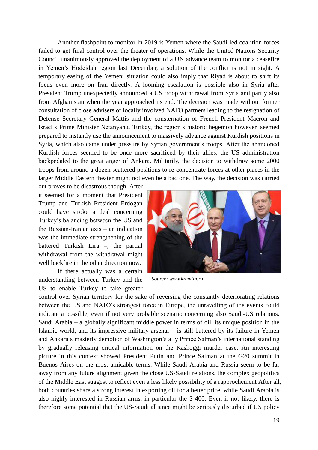Another flashpoint to monitor in 2019 is Yemen where the Saudi-led coalition forces failed to get final control over the theater of operations. While the United Nations Security Council unanimously approved the deployment of a UN advance team to monitor a ceasefire in Yemen's Hodeidah region last December, a solution of the conflict is not in sight. A temporary easing of the Yemeni situation could also imply that Riyad is about to shift its focus even more on Iran directly. A looming escalation is possible also in Syria after President Trump unexpectedly announced a US troop withdrawal from Syria and partly also from Afghanistan when the year approached its end. The decision was made without former consultation of close advisers or locally involved NATO partners leading to the resignation of Defense Secretary General Mattis and the consternation of French President Macron and Israel's Prime Minister Netanyahu. Turkey, the region's historic hegemon however, seemed prepared to instantly use the announcement to massively advance against Kurdish positions in Syria, which also came under pressure by Syrian government's troops. After the abandoned Kurdish forces seemed to be once more sacrificed by their allies, the US administration backpedaled to the great anger of Ankara. Militarily, the decision to withdraw some 2000 troops from around a dozen scattered positions to re-concentrate forces at other places in the larger Middle Eastern theater might not even be a bad one. The way, the decision was carried

out proves to be disastrous though. After it seemed for a moment that President Trump and Turkish President Erdogan could have stroke a deal concerning Turkey's balancing between the US and the Russian-Iranian axis – an indication was the immediate strengthening of the battered Turkish Lira –, the partial withdrawal from the withdrawal might well backfire in the other direction now.

If there actually was a certain understanding between Turkey and the US to enable Turkey to take greater



*Source: www.kremlin.ru*

control over Syrian territory for the sake of reversing the constantly deteriorating relations between the US and NATO's strongest force in Europe, the unravelling of the events could indicate a possible, even if not very probable scenario concerning also Saudi-US relations. Saudi Arabia – a globally significant middle power in terms of oil, its unique position in the Islamic world, and its impressive military arsenal – is still battered by its failure in Yemen and Ankara's masterly demotion of Washington's ally Prince Salman's international standing by gradually releasing critical information on the Kashoggi murder case. An interesting picture in this context showed President Putin and Prince Salman at the G20 summit in Buenos Aires on the most amicable terms. While Saudi Arabia and Russia seem to be far away from any future alignment given the close US-Saudi relations, the complex geopolitics of the Middle East suggest to reflect even a less likely possibility of a rapprochement After all, both countries share a strong interest in exporting oil for a better price, while Saudi Arabia is also highly interested in Russian arms, in particular the S-400. Even if not likely, there is therefore some potential that the US-Saudi alliance might be seriously disturbed if US policy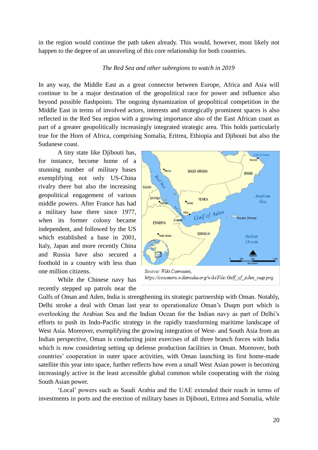in the region would continue the path taken already. This would, however, most likely not happen to the degree of an unraveling of this core relationship for both countries.

#### *The Red Sea and other subregions to watch in 2019*

In any way, the Middle East as a great connector between Europe, Africa and Asia will continue to be a major destination of the geopolitical race for power and influence also beyond possible flashpoints. The ongoing dynamization of geopolitical competition in the Middle East in terms of involved actors, interests and strategically prominent spaces is also reflected in the Red Sea region with a growing importance also of the East African coast as part of a greater geopolitically increasingly integrated strategic area. This holds particularly true for the Horn of Africa, comprising Somalia, Eritrea, Ethiopia and Djibouti but also the Sudanese coast.

A tiny state like Djibouti has, for instance, become home of a stunning number of military bases exemplifying not only US-China rivalry there but also the increasing geopolitical engagement of various middle powers. After France has had a military base there since 1977, when its former colony became independent, and followed by the US which established a base in 2001, Italy, Japan and more recently China and Russia have also secured a foothold in a country with less than one million citizens.

While the Chinese navy has recently stepped up patrols near the



Source: Wiki Commons, https://commons.wikimedia.org/wiki/File:Gulf of Aden map.png

Gulfs of Oman and Aden, India is strengthening its strategic partnership with Oman. Notably, Delhi stroke a deal with Oman last year to operationalize Oman's Duqm port which is overlooking the Arabian Sea and the Indian Ocean for the Indian navy as part of Delhi's efforts to push its Indo-Pacific strategy in the rapidly transforming maritime landscape of West Asia. Moreover, exemplifying the growing integration of West- and South Asia from an Indian perspective, Oman is conducting joint exercises of all three branch forces with India which is now considering setting up defense production facilities in Oman. Moreover, both countries' cooperation in outer space activities, with Oman launching its first home-made satellite this year into space, further reflects how even a small West Asian power is becoming increasingly active in the least accessible global common while cooperating with the rising South Asian power.

'Local' powers such as Saudi Arabia and the UAE extended their reach in terms of investments in ports and the erection of military bases in Djibouti, Eritrea and Somalia, while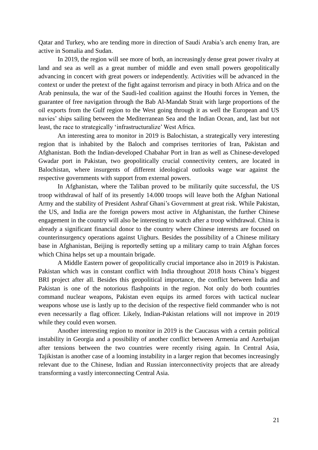Qatar and Turkey, who are tending more in direction of Saudi Arabia's arch enemy Iran, are active in Somalia and Sudan.

In 2019, the region will see more of both, an increasingly dense great power rivalry at land and sea as well as a great number of middle and even small powers geopolitically advancing in concert with great powers or independently. Activities will be advanced in the context or under the pretext of the fight against terrorism and piracy in both Africa and on the Arab peninsula, the war of the Saudi-led coalition against the Houthi forces in Yemen, the guarantee of free navigation through the Bab Al-Mandab Strait with large proportions of the oil exports from the Gulf region to the West going through it as well the European and US navies' ships sailing between the Mediterranean Sea and the Indian Ocean, and, last but not least, the race to strategically 'infrastructuralize' West Africa.

An interesting area to monitor in 2019 is Balochistan, a strategically very interesting region that is inhabited by the Baloch and comprises territories of Iran, Pakistan and Afghanistan. Both the Indian-developed Chabahar Port in Iran as well as Chinese-developed Gwadar port in Pakistan, two geopolitically crucial connectivity centers, are located in Balochistan, where insurgents of different ideological outlooks wage war against the respective governments with support from external powers.

In Afghanistan, where the Taliban proved to be militarily quite successful, the US troop withdrawal of half of its presently 14.000 troops will leave both the Afghan National Army and the stability of President Ashraf Ghani's Government at great risk. While Pakistan, the US, and India are the foreign powers most active in Afghanistan, the further Chinese engagement in the country will also be interesting to watch after a troop withdrawal. China is already a significant financial donor to the country where Chinese interests are focused on counterinsurgency operations against Uighurs. Besides the possibility of a Chinese military base in Afghanistan, Beijing is reportedly setting up a military camp to train Afghan forces which China helps set up a mountain brigade.

A Middle Eastern power of geopolitically crucial importance also in 2019 is Pakistan. Pakistan which was in constant conflict with India throughout 2018 hosts China's biggest BRI project after all. Besides this geopolitical importance, the conflict between India and Pakistan is one of the notorious flashpoints in the region. Not only do both countries command nuclear weapons, Pakistan even equips its armed forces with tactical nuclear weapons whose use is lastly up to the decision of the respective field commander who is not even necessarily a flag officer. Likely, Indian-Pakistan relations will not improve in 2019 while they could even worsen.

Another interesting region to monitor in 2019 is the Caucasus with a certain political instability in Georgia and a possibility of another conflict between Armenia and Azerbaijan after tensions between the two countries were recently rising again. In Central Asia, Tajikistan is another case of a looming instability in a larger region that becomes increasingly relevant due to the Chinese, Indian and Russian interconnectivity projects that are already transforming a vastly interconnecting Central Asia.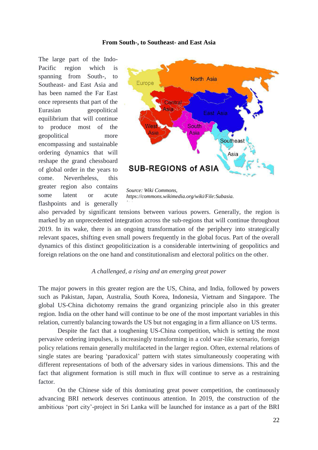#### **From South-, to Southeast- and East Asia**

The large part of the Indo-Pacific region which spanning from South-, to Southeast- and East Asia and has been named the Far East once represents that part of the Eurasian geopolitical equilibrium that will continue to produce most of the geopolitical more encompassing and sustainable ordering dynamics that will reshape the grand chessboard of global order in the years to come. Nevertheless, this greater region also contains some latent or acute flashpoints and is generally



*Source: Wiki Commons, https://commons.wikimedia.org/wiki/File:Subasia. jpg*

also pervaded by significant tensions between various powers. Generally, the region is marked by an unprecedented integration across the sub-regions that will continue throughout 2019. In its wake, there is an ongoing transformation of the periphery into strategically relevant spaces, shifting even small powers frequently in the global focus. Part of the overall dynamics of this distinct geopoliticization is a considerable intertwining of geopolitics and foreign relations on the one hand and constitutionalism and electoral politics on the other.

#### *A challenged, a rising and an emerging great power*

The major powers in this greater region are the US, China, and India, followed by powers such as Pakistan, Japan, Australia, South Korea, Indonesia, Vietnam and Singapore. The global US-China dichotomy remains the grand organizing principle also in this greater region. India on the other hand will continue to be one of the most important variables in this relation, currently balancing towards the US but not engaging in a firm alliance on US terms.

Despite the fact that a toughening US-China competition, which is setting the most pervasive ordering impulses, is increasingly transforming in a cold war-like scenario, foreign policy relations remain generally multifaceted in the larger region. Often, external relations of single states are bearing 'paradoxical' pattern with states simultaneously cooperating with different representations of both of the adversary sides in various dimensions. This and the fact that alignment formation is still much in flux will continue to serve as a restraining factor.

On the Chinese side of this dominating great power competition, the continuously advancing BRI network deserves continuous attention. In 2019, the construction of the ambitious 'port city'-project in Sri Lanka will be launched for instance as a part of the BRI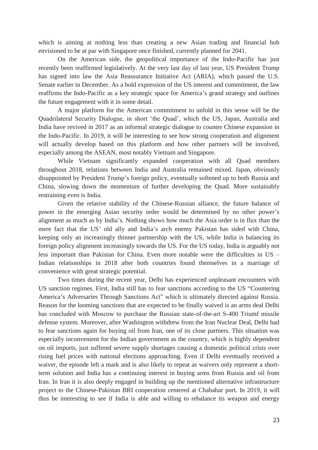which is aiming at nothing less than creating a new Asian trading and financial hub envisioned to be at par with Singapore once finished, currently planned for 2041.

On the American side, the geopolitical importance of the Indo-Pacific has just recently been reaffirmed legislatively. At the very last day of last year, US President Trump has signed into law the Asia Reassurance Initiative Act (ARIA), which passed the U.S. Senate earlier in December. As a bold expression of the US interest and commitment, the law reaffirms the Indo-Pacific as a key strategic space for America's grand strategy and outlines the future engagement with it in some detail.

A major platform for the American commitment to unfold in this sense will be the Quadrilateral Security Dialogue, in short 'the Quad', which the US, Japan, Australia and India have revived in 2017 as an informal strategic dialogue to counter Chinese expansion in the Indo-Pacific. In 2019, it will be interesting to see how strong cooperation and alignment will actually develop based on this platform and how other partners will be involved, especially among the ASEAN, most notably Vietnam and Singapore.

While Vietnam significantly expanded cooperation with all Quad members throughout 2018, relations between India and Australia remained mixed. Japan, obviously disappointed by President Trump's foreign policy, eventually softened up to both Russia and China, slowing down the momentum of further developing the Quad. More sustainably restraining even is India.

Given the relative stability of the Chinese-Russian alliance, the future balance of power in the emerging Asian security order would be determined by no other power's alignment as much as by India's. Nothing shows how much the Asia order is in flux than the mere fact that the US' old ally and India's arch enemy Pakistan has sided with China, keeping only an increasingly thinner partnership with the US, while India is balancing its foreign policy alignment increasingly towards the US. For the US today, India is arguably not less important than Pakistan for China. Even more notable were the difficulties in US – Indian relationships in 2018 after both countries found themselves in a marriage of convenience with great strategic potential.

Two times during the recent year, Delhi has experienced unpleasant encounters with US sanction regimes. First, India still has to fear sanctions according to the US "Countering America's Adversaries Through Sanctions Act" which is ultimately directed against Russia. Reason for the looming sanctions that are expected to be finally waived is an arms deal Delhi has concluded with Moscow to purchase the Russian state-of-the-art S-400 Triumf missile defense system. Moreover, after Washington withdrew from the Iran Nuclear Deal, Delhi had to fear sanctions again for buying oil from Iran, one of its close partners. This situation was especially inconvenient for the Indian government as the country, which is highly dependent on oil imports, just suffered severe supply shortages causing a domestic political crisis over rising fuel prices with national elections approaching. Even if Delhi eventually received a waiver, the episode left a mark and is also likely to repeat as waivers only represent a shortterm solution and India has a continuing interest in buying arms from Russia and oil from Iran. In Iran it is also deeply engaged in building up the mentioned alternative infrastructure project to the Chinese-Pakistan BRI cooperation centered at Chabahar port. In 2019, it will thus be interesting to see if India is able and willing to rebalance its weapon and energy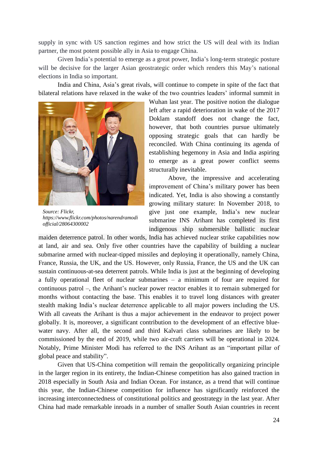supply in sync with US sanction regimes and how strict the US will deal with its Indian partner, the most potent possible ally in Asia to engage China.

Given India's potential to emerge as a great power, India's long-term strategic posture will be decisive for the larger Asian geostrategic order which renders this May's national elections in India so important.

India and China, Asia's great rivals, will continue to compete in spite of the fact that bilateral relations have relaxed in the wake of the two countries leaders' informal summit in



*Source: Flickr, https://www.flickr.com/photos/narendramodi official/28064300002*

Wuhan last year. The positive notion the dialogue left after a rapid deterioration in wake of the 2017 Doklam standoff does not change the fact, however, that both countries pursue ultimately opposing strategic goals that can hardly be reconciled. With China continuing its agenda of establishing hegemony in Asia and India aspiring to emerge as a great power conflict seems structurally inevitable.

Above, the impressive and accelerating improvement of China's military power has been indicated. Yet, India is also showing a constantly growing military stature: In November 2018, to give just one example, India's new nuclear submarine INS Arihant has completed its first indigenous ship submersible ballistic nuclear

maiden deterrence patrol. In other words, India has achieved nuclear strike capabilities now at land, air and sea. Only five other countries have the capability of building a nuclear submarine armed with nuclear-tipped missiles and deploying it operationally, namely China, France, Russia, the UK, and the US. However, only Russia, France, the US and the UK can sustain continuous-at-sea deterrent patrols. While India is just at the beginning of developing a fully operational fleet of nuclear submarines – a minimum of four are required for continuous patrol –, the Arihant's nuclear power reactor enables it to remain submerged for months without contacting the base. This enables it to travel long distances with greater stealth making India's nuclear deterrence applicable to all major powers including the US. With all caveats the Arihant is thus a major achievement in the endeavor to project power globally. It is, moreover, a significant contribution to the development of an effective bluewater navy. After all, the second and third Kalvari class submarines are likely to be commissioned by the end of 2019, while two air-craft carriers will be operational in 2024. Notably, Prime Minister Modi has referred to the INS Arihant as an "important pillar of global peace and stability".

Given that US-China competition will remain the geopolitically organizing principle in the larger region in its entirety, the Indian-Chinese competition has also gained traction in 2018 especially in South Asia and Indian Ocean. For instance, as a trend that will continue this year, the Indian-Chinese competition for influence has significantly reinforced the increasing interconnectedness of constitutional politics and geostrategy in the last year. After China had made remarkable inroads in a number of smaller South Asian countries in recent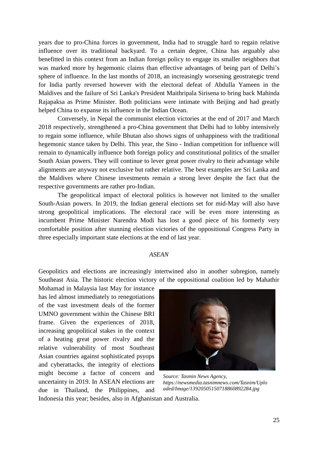years due to pro-China forces in government, India had to struggle hard to regain relative influence over its traditional backyard. To a certain degree, China has arguably also benefitted in this context from an Indian foreign policy to engage its smaller neighbors that was marked more by hegemonic claims than effective advantages of being part of Delhi's sphere of influence. In the last months of 2018, an increasingly worsening geostrategic trend for India partly reversed however with the electoral defeat of Abdulla Yameen in the Maldives and the failure of Sri Lanka's President Maithripala Sirisena to bring back Mahinda Rajapaksa as Prime Minister. Both politicians were intimate with Beijing and had greatly helped China to expanse its influence in the Indian Ocean.

Conversely, in Nepal the communist election victories at the end of 2017 and March 2018 respectively, strengthened a pro-China government that Delhi had to lobby intensively to regain some influence, while Bhutan also shows signs of unhappiness with the traditional hegemonic stance taken by Delhi. This year, the Sino - Indian competition for influence will remain to dynamically influence both foreign policy and constitutional politics of the smaller South Asian powers. They will continue to lever great power rivalry to their advantage while alignments are anyway not exclusive but rather relative. The best examples are Sri Lanka and the Maldives where Chinese investments remain a strong lever despite the fact that the respective governments are rather pro-Indian.

The geopolitical impact of electoral politics is however not limited to the smaller South-Asian powers. In 2019, the Indian general elections set for mid-May will also have strong geopolitical implications. The electoral race will be even more interesting as incumbent Prime Minister Narendra Modi has lost a good piece of his formerly very comfortable position after stunning election victories of the oppositional Congress Party in three especially important state elections at the end of last year.

### *ASEAN*

Geopolitics and elections are increasingly intertwined also in another subregion, namely Southeast Asia. The historic election victory of the oppositional coalition led by Mahathir

Mohamad in Malaysia last May for instance has led almost immediately to renegotiations of the vast investment deals of the former UMNO government within the Chinese BRI frame. Given the experiences of 2018, increasing geopolitical stakes in the context of a heating great power rivalry and the relative vulnerability of most Southeast Asian countries against sophisticated psyops and cyberattacks, the integrity of elections might become a factor of concern and uncertainty in 2019. In ASEAN elections are due in Thailand, the Philippines, and



*Source: Tasmin News Agency, https://newsmedia.tasnimnews.com/Tasnim/Uplo aded/Image/13920505150718860892284.jpg*

Indonesia this year; besides, also in Afghanistan and Australia.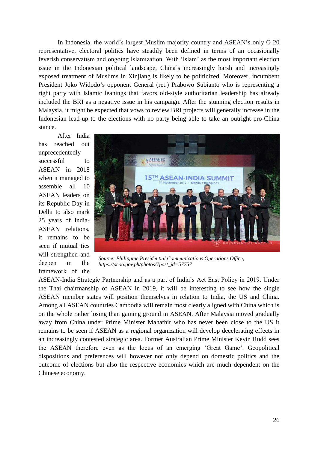In Indonesia, the world's largest Muslim majority country and ASEAN's only G 20 representative, electoral politics have steadily been defined in terms of an occasionally feverish conservatism and ongoing Islamization. With 'Islam' as the most important election issue in the Indonesian political landscape, China's increasingly harsh and increasingly exposed treatment of Muslims in Xinjiang is likely to be politicized. Moreover, incumbent President Joko Widodo's opponent General (ret.) Prabowo Subianto who is representing a right party with Islamic leanings that favors old-style authoritarian leadership has already included the BRI as a negative issue in his campaign. After the stunning election results in Malaysia, it might be expected that vows to review BRI projects will generally increase in the Indonesian lead-up to the elections with no party being able to take an outright pro-China stance.

After India has reached out unprecedentedly successful to ASEAN in 2018 when it managed to assemble all 10 ASEAN leaders on its Republic Day in Delhi to also mark 25 years of India-ASEAN relations, it remains to be seen if mutual ties will strengthen and deepen in the framework of the



*Source: Philippine Presidential Communications Operations Office, https://pcoo.gov.ph/photos/?post\_id=57757*

ASEAN-India Strategic Partnership and as a part of India's Act East Policy in 2019. Under the Thai chairmanship of ASEAN in 2019, it will be interesting to see how the single ASEAN member states will position themselves in relation to India, the US and China. Among all ASEAN countries Cambodia will remain most clearly aligned with China which is on the whole rather losing than gaining ground in ASEAN. After Malaysia moved gradually away from China under Prime Minister Mahathir who has never been close to the US it remains to be seen if ASEAN as a regional organization will develop decelerating effects in an increasingly contested strategic area. Former Australian Prime Minister Kevin Rudd sees the ASEAN therefore even as the locus of an emerging 'Great Game'. Geopolitical dispositions and preferences will however not only depend on domestic politics and the outcome of elections but also the respective economies which are much dependent on the Chinese economy.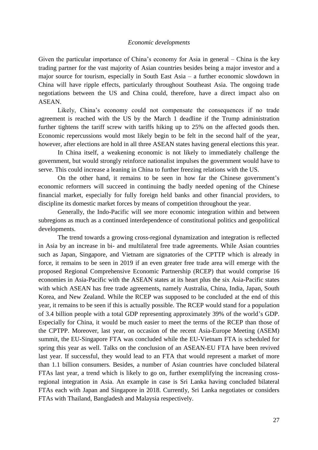#### *Economic developments*

Given the particular importance of China's economy for Asia in general – China is the key trading partner for the vast majority of Asian countries besides being a major investor and a major source for tourism, especially in South East Asia – a further economic slowdown in China will have ripple effects, particularly throughout Southeast Asia. The ongoing trade negotiations between the US and China could, therefore, have a direct impact also on ASEAN.

Likely, China's economy could not compensate the consequences if no trade agreement is reached with the US by the March 1 deadline if the Trump administration further tightens the tariff screw with tariffs hiking up to 25% on the affected goods then. Economic repercussions would most likely begin to be felt in the second half of the year, however, after elections are hold in all three ASEAN states having general elections this year.

In China itself, a weakening economic is not likely to immediately challenge the government, but would strongly reinforce nationalist impulses the government would have to serve. This could increase a leaning in China to further freezing relations with the US.

On the other hand, it remains to be seen in how far the Chinese government's economic reformers will succeed in continuing the badly needed opening of the Chinese financial market, especially for fully foreign held banks and other financial providers, to discipline its domestic market forces by means of competition throughout the year.

Generally, the Indo-Pacific will see more economic integration within and between subregions as much as a continued interdependence of constitutional politics and geopolitical developments.

The trend towards a growing cross-regional dynamization and integration is reflected in Asia by an increase in bi- and multilateral free trade agreements. While Asian countries such as Japan, Singapore, and Vietnam are signatories of the CPTTP which is already in force, it remains to be seen in 2019 if an even greater free trade area will emerge with the proposed Regional Comprehensive Economic Partnership (RCEP) that would comprise 16 economies in Asia-Pacific with the ASEAN states at its heart plus the six Asia-Pacific states with which ASEAN has free trade agreements, namely Australia, China, India, Japan, South Korea, and New Zealand. While the RCEP was supposed to be concluded at the end of this year, it remains to be seen if this is actually possible. The RCEP would stand for a population of 3.4 billion people with a total GDP representing approximately 39% of the world's GDP. Especially for China, it would be much easier to meet the terms of the RCEP than those of the CPTPP. Moreover, last year, on occasion of the recent Asia-Europe Meeting (ASEM) summit, the EU-Singapore FTA was concluded while the EU-Vietnam FTA is scheduled for spring this year as well. Talks on the conclusion of an ASEAN*-*EU FTA have been revived last year. If successful, they would lead to an FTA that would represent a market of more than 1.1 billion consumers. Besides, a number of Asian countries have concluded bilateral FTAs last year, a trend which is likely to go on, further exemplifying the increasing crossregional integration in Asia. An example in case is Sri Lanka having concluded bilateral FTAs each with Japan and Singapore in 2018. Currently, Sri Lanka negotiates or considers FTAs with Thailand, Bangladesh and Malaysia respectively.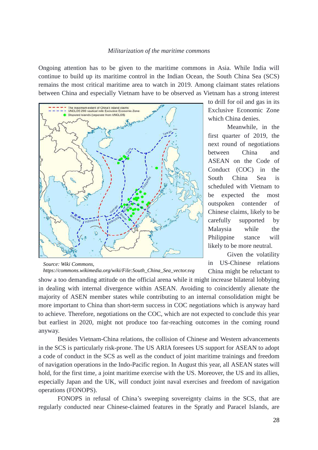#### *Militarization of the maritime commons*

Ongoing attention has to be given to the maritime commons in Asia. While India will continue to build up its maritime control in the Indian Ocean, the South China Sea (SCS) remains the most critical maritime area to watch in 2019. Among claimant states relations between China and especially Vietnam have to be observed as Vietnam has a strong interest



*Source: Wiki Commons, https://commons.wikimedia.org/wiki/File:South\_China\_Sea\_vector.svg*

to drill for oil and gas in its Exclusive Economic Zone which China denies.

Meanwhile, in the first quarter of 2019, the next round of negotiations between China and [ASEAN](http://www.globaltimes.cn/content/996882.shtml) on the Code of Conduct (COC) in the South China Sea is scheduled with Vietnam to be expected the most outspoken contender of Chinese claims, likely to be carefully supported by Malaysia while the Philippine stance will likely to be more neutral.

Given the volatility in US-Chinese relations China might be reluctant to

show a too demanding attitude on the official arena while it might increase bilateral lobbying in dealing with internal divergence within ASEAN. Avoiding to coincidently alienate the majority of ASEN member states while contributing to an internal consolidation might be more important to China than short-term success in COC negotiations which is anyway hard to achieve. Therefore, negotiations on the COC, which are not expected to conclude this year but earliest in 2020, might not produce too far-reaching outcomes in the coming round anyway.

Besides Vietnam-China relations, the collision of Chinese and Western advancements in the SCS is particularly risk-prone. The US ARIA foresees US support for ASEAN to adopt a code of conduct in the SCS as well as the conduct of joint maritime trainings and freedom of navigation operations in the Indo-Pacific region. In August this year, all ASEAN states will hold, for the first time, a joint maritime exercise with the US. Moreover, the US and its allies, especially Japan and the UK, will conduct joint naval exercises and freedom of navigation operations (FONOPS).

FONOPS in refusal of China's sweeping sovereignty claims in the SCS, that are regularly conducted near Chinese-claimed features in the Spratly and Paracel Islands, are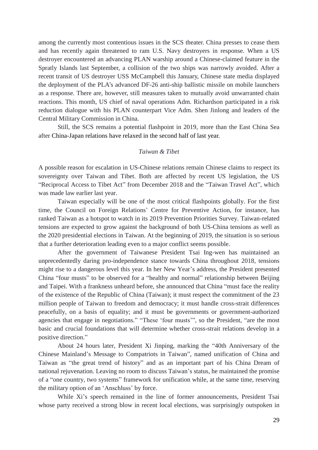among the currently most contentious issues in the SCS theater. China presses to cease them and has recently again threatened to ram U.S. Navy destroyers in response. When a US destroyer [encountered](https://www.maritime-executive.com/editorials/naval-encounters-the-new-norm-in-the-south-china-sea) an advancing PLAN warship around a Chinese-claimed feature in the Spratly Islands last September, a collision of the two ships was narrowly avoided. After a recent transit of US destroyer USS McCampbell this January, Chinese state media [displayed](http://www.globaltimes.cn/content/1135138.shtml) the deployment of the PLA's advanced DF-26 anti-ship ballistic missile on mobile launchers as a response. There are, however, still measures taken to mutually avoid unwarranted chain reactions. This month, US chief of naval operations Adm. Richardson participated in a risk reduction dialogue with his PLAN counterpart Vice Adm. Shen Jinlong and leaders of the Central Military Commission in China.

Still, the SCS remains a potential flashpoint in 2019, more than the East China Sea after China-Japan relations have relaxed in the second half of last year.

#### *Taiwan & Tibet*

A possible reason for escalation in US-Chinese relations remain Chinese claims to respect its sovereignty over Taiwan and Tibet. Both are affected by recent US legislation, the US "Reciprocal Access to Tibet Act" from December 2018 and the "Taiwan Travel Act", which was made law earlier last year.

Taiwan especially will be one of the most critical flashpoints globally. For the first time, the Council on Foreign Relations' Centre for Preventive Action, for instance, has ranked Taiwan as a hotspot to watch in its 2019 Prevention Priorities Survey. Taiwan-related tensions are expected to grow against the background of both US-China tensions as well as the 2020 presidential elections in Taiwan. At the beginning of 2019, the situation is so serious that a further deterioration leading even to a major conflict seems possible.

After the government of Taiwanese President Tsai Ing-wen has maintained an unprecedentedly daring pro-independence stance towards China throughout 2018, tensions might rise to a dangerous level this year. In her New Year's address, the President presented China "four musts" to be observed for a "healthy and normal" relationship between Beijing and Taipei. With a frankness unheard before, she announced that China "must face the reality of the existence of the Republic of China (Taiwan); it must respect the commitment of the 23 million people of Taiwan to freedom and democracy; it must handle cross-strait differences peacefully, on a basis of equality; and it must be governments or government-authorized agencies that engage in negotiations." "These 'four musts'", so the President, "are the most basic and crucial foundations that will determine whether cross-strait relations develop in a positive direction."

About 24 hours later, President Xi Jinping, marking the "40th Anniversary of the Chinese Mainland's Message to Compatriots in Taiwan", named unification of China and Taiwan as "the great trend of history" and as an important part of his China Dream of national rejuvenation. Leaving no room to discuss Taiwan's status, he maintained the promise of a "one country, two systems" framework for unification while, at the same time, reserving the military option of an 'Anschluss' by force.

While Xi's speech remained in the line of former announcements, President Tsai whose party received a strong blow in recent local elections, was surprisingly outspoken in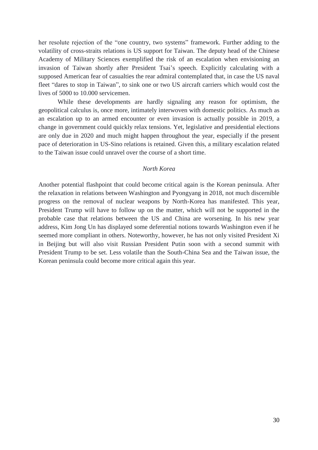her resolute rejection of the "one country, two systems" framework. Further adding to the volatility of cross-straits relations is US support for Taiwan. The deputy head of the Chinese Academy of Military Sciences exemplified the risk of an escalation when envisioning an invasion of Taiwan shortly after President Tsai's speech. Explicitly calculating with a supposed American fear of casualties the rear admiral contemplated that, in case the US naval fleet "dares to stop in Taiwan", to sink one or two US aircraft carriers which would cost the lives of 5000 to 10.000 servicemen.

While these developments are hardly signaling any reason for optimism, the geopolitical calculus is, once more, intimately interwoven with domestic politics. As much as an escalation up to an armed encounter or even invasion is actually possible in 2019, a change in government could quickly relax tensions. Yet, legislative and presidential elections are only due in 2020 and much might happen throughout the year, especially if the present pace of deterioration in US-Sino relations is retained. Given this, a military escalation related to the Taiwan issue could unravel over the course of a short time.

#### *North Korea*

Another potential flashpoint that could become critical again is the Korean peninsula. After the relaxation in relations between Washington and Pyongyang in 2018, not much discernible progress on the removal of nuclear weapons by North-Korea has manifested. This year, President Trump will have to follow up on the matter, which will not be supported in the probable case that relations between the US and China are worsening. In his new year address, Kim Jong Un has displayed some deferential notions towards Washington even if he seemed more compliant in others. Noteworthy, however, he has not only visited President Xi in Beijing but will also visit Russian President Putin soon with a second summit with President Trump to be set. Less volatile than the South-China Sea and the Taiwan issue, the Korean peninsula could become more critical again this year.